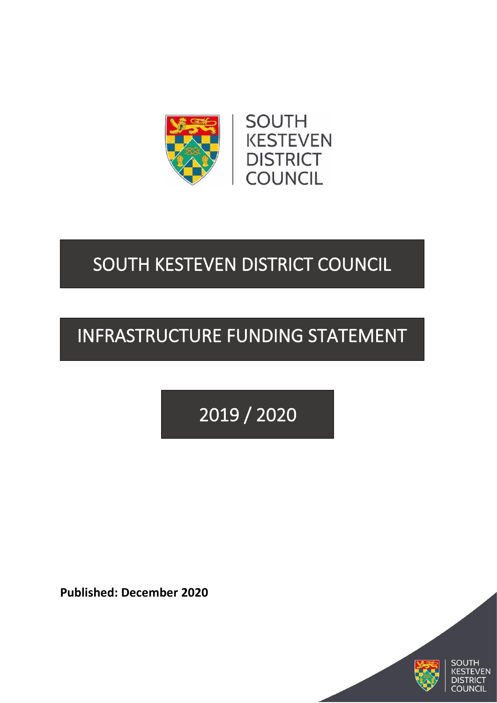



## SOUTH KESTEVEN DISTRICT COUNCIL

# INFRASTRUCTURE FUNDING STATEMENT

2019 / 2020

**Published: December 2020**



**FN** RICT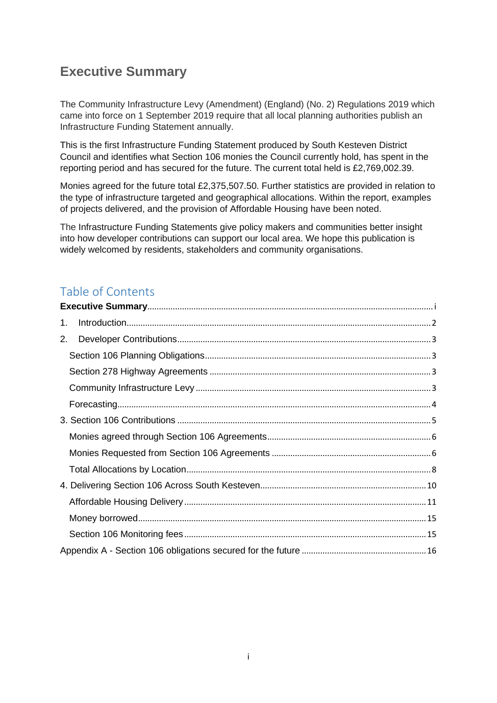### <span id="page-1-0"></span>**Executive Summary**

The Community Infrastructure Levy (Amendment) (England) (No. 2) Regulations 2019 which came into force on 1 September 2019 require that all local planning authorities publish an Infrastructure Funding Statement annually.

This is the first Infrastructure Funding Statement produced by South Kesteven District Council and identifies what Section 106 monies the Council currently hold, has spent in the reporting period and has secured for the future. The current total held is £2,769,002.39.

Monies agreed for the future total £2,375,507.50. Further statistics are provided in relation to the type of infrastructure targeted and geographical allocations. Within the report, examples of projects delivered, and the provision of Affordable Housing have been noted.

The Infrastructure Funding Statements give policy makers and communities better insight into how developer contributions can support our local area. We hope this publication is widely welcomed by residents, stakeholders and community organisations.

### Table of Contents

| 1. |  |
|----|--|
| 2. |  |
|    |  |
|    |  |
|    |  |
|    |  |
|    |  |
|    |  |
|    |  |
|    |  |
|    |  |
|    |  |
|    |  |
|    |  |
|    |  |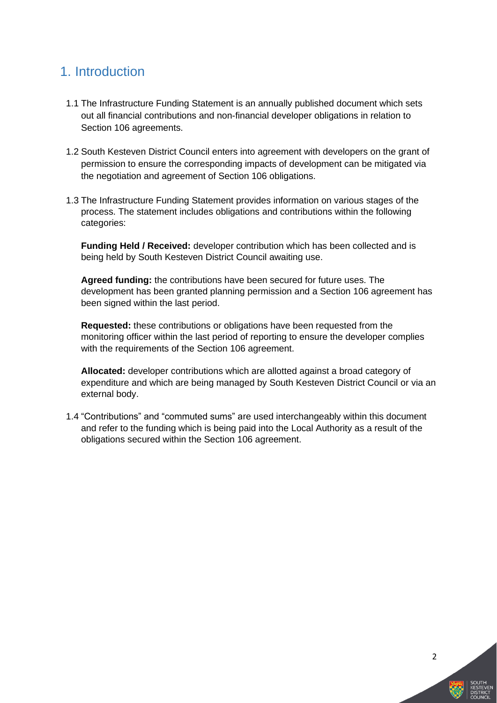### <span id="page-2-0"></span>1. Introduction

- 1.1 The Infrastructure Funding Statement is an annually published document which sets out all financial contributions and non-financial developer obligations in relation to Section 106 agreements.
- 1.2 South Kesteven District Council enters into agreement with developers on the grant of permission to ensure the corresponding impacts of development can be mitigated via the negotiation and agreement of Section 106 obligations.
- 1.3 The Infrastructure Funding Statement provides information on various stages of the process. The statement includes obligations and contributions within the following categories:

**Funding Held / Received:** developer contribution which has been collected and is being held by South Kesteven District Council awaiting use.

**Agreed funding:** the contributions have been secured for future uses. The development has been granted planning permission and a Section 106 agreement has been signed within the last period.

**Requested:** these contributions or obligations have been requested from the monitoring officer within the last period of reporting to ensure the developer complies with the requirements of the Section 106 agreement.

**Allocated:** developer contributions which are allotted against a broad category of expenditure and which are being managed by South Kesteven District Council or via an external body.

1.4 "Contributions" and "commuted sums" are used interchangeably within this document and refer to the funding which is being paid into the Local Authority as a result of the obligations secured within the Section 106 agreement.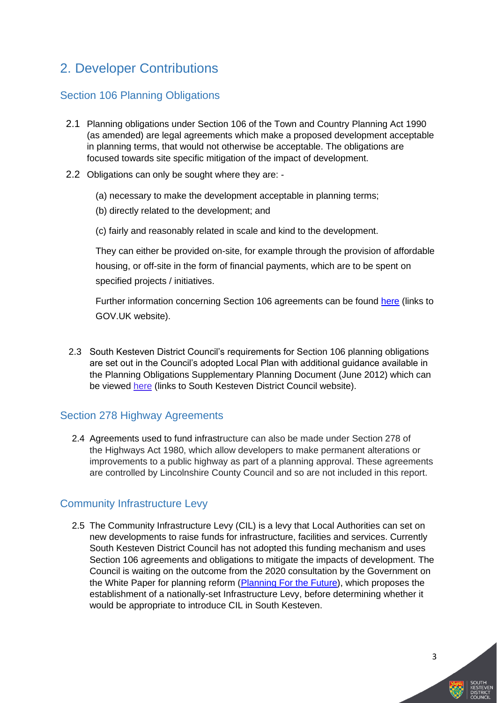### <span id="page-3-0"></span>2. Developer Contributions

#### <span id="page-3-1"></span>Section 106 Planning Obligations

- 2.1 Planning obligations under Section 106 of the Town and Country Planning Act 1990 (as amended) are legal agreements which make a proposed development acceptable in planning terms, that would not otherwise be acceptable. The obligations are focused towards site specific mitigation of the impact of development.
- 2.2 Obligations can only be sought where they are:
	- (a) necessary to make the development acceptable in planning terms;
	- (b) directly related to the development; and
	- (c) fairly and reasonably related in scale and kind to the development.

They can either be provided on-site, for example through the provision of affordable housing, or off-site in the form of financial payments, which are to be spent on specified projects / initiatives.

Further information concerning Section 106 agreements can be found [here](https://www.gov.uk/guidance/planning-obligations) (links to GOV.UK website).

2.3 South Kesteven District Council's requirements for Section 106 planning obligations are set out in the Council's adopted Local Plan with additional guidance available in the Planning Obligations Supplementary Planning Document (June 2012) which can be viewed [here](http://www.southkesteven.gov.uk/CHttpHandler.ashx?id=13870&p=0) (links to South Kesteven District Council website).

#### <span id="page-3-2"></span>Section 278 Highway Agreements

2.4 Agreements used to fund infrastructure can also be made under Section 278 of the Highways Act 1980, which allow developers to make permanent alterations or improvements to a public highway as part of a planning approval. These agreements are controlled by Lincolnshire County Council and so are not included in this report.

#### <span id="page-3-3"></span>Community Infrastructure Levy

2.5 The Community Infrastructure Levy (CIL) is a levy that Local Authorities can set on new developments to raise funds for infrastructure, facilities and services. Currently South Kesteven District Council has not adopted this funding mechanism and uses Section 106 agreements and obligations to mitigate the impacts of development. The Council is waiting on the outcome from the 2020 consultation by the Government on the White Paper for planning reform [\(Planning For the Future\)](https://assets.publishing.service.gov.uk/government/uploads/system/uploads/attachment_data/file/907647/MHCLG-Planning-Consultation.pdf), which proposes the establishment of a nationally-set Infrastructure Levy, before determining whether it would be appropriate to introduce CIL in South Kesteven.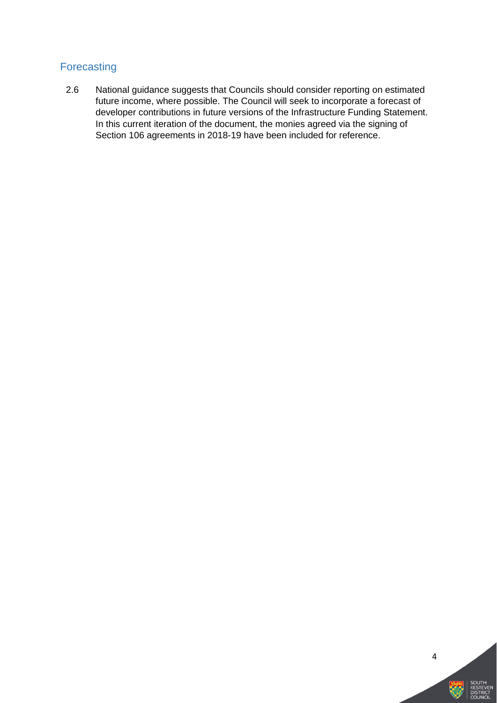#### <span id="page-4-0"></span>Forecasting

2.6 National guidance suggests that Councils should consider reporting on estimated future income, where possible. The Council will seek to incorporate a forecast of developer contributions in future versions of the Infrastructure Funding Statement. In this current iteration of the document, the monies agreed via the signing of Section 106 agreements in 2018-19 have been included for reference.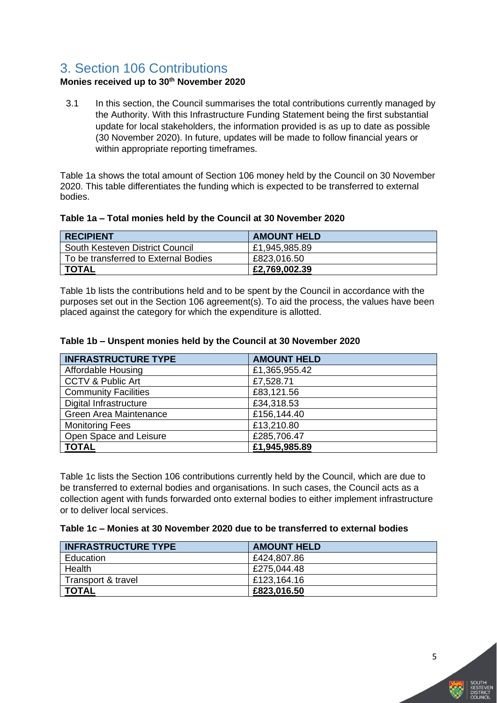### <span id="page-5-0"></span>3. Section 106 Contributions

#### **Monies received up to 30th November 2020**

3.1 In this section, the Council summarises the total contributions currently managed by the Authority. With this Infrastructure Funding Statement being the first substantial update for local stakeholders, the information provided is as up to date as possible (30 November 2020). In future, updates will be made to follow financial years or within appropriate reporting timeframes.

Table 1a shows the total amount of Section 106 money held by the Council on 30 November 2020. This table differentiates the funding which is expected to be transferred to external bodies.

#### **Table 1a – Total monies held by the Council at 30 November 2020**

| <b>RECIPIENT</b>                     | <b>AMOUNT HELD</b> |
|--------------------------------------|--------------------|
| South Kesteven District Council      | £1,945,985.89      |
| To be transferred to External Bodies | £823,016.50        |
| <b>TOTAL</b>                         | £2,769,002.39      |

Table 1b lists the contributions held and to be spent by the Council in accordance with the purposes set out in the Section 106 agreement(s). To aid the process, the values have been placed against the category for which the expenditure is allotted.

#### **Table 1b – Unspent monies held by the Council at 30 November 2020**

| <b>INFRASTRUCTURE TYPE</b>    | <b>AMOUNT HELD</b> |
|-------------------------------|--------------------|
| Affordable Housing            | £1,365,955.42      |
| CCTV & Public Art             | £7,528.71          |
| <b>Community Facilities</b>   | £83,121.56         |
| Digital Infrastructure        | £34,318.53         |
| <b>Green Area Maintenance</b> | £156,144.40        |
| <b>Monitoring Fees</b>        | £13,210.80         |
| Open Space and Leisure        | £285,706.47        |
| <b>TOTAL</b>                  | £1,945,985.89      |

Table 1c lists the Section 106 contributions currently held by the Council, which are due to be transferred to external bodies and organisations. In such cases, the Council acts as a collection agent with funds forwarded onto external bodies to either implement infrastructure or to deliver local services.

#### **Table 1c – Monies at 30 November 2020 due to be transferred to external bodies**

| <b>INFRASTRUCTURE TYPE</b> | <b>AMOUNT HELD</b> |
|----------------------------|--------------------|
| Education                  | £424,807.86        |
| Health                     | £275,044.48        |
| Transport & travel         | £123.164.16        |
| <b>TOTAL</b>               | £823,016.50        |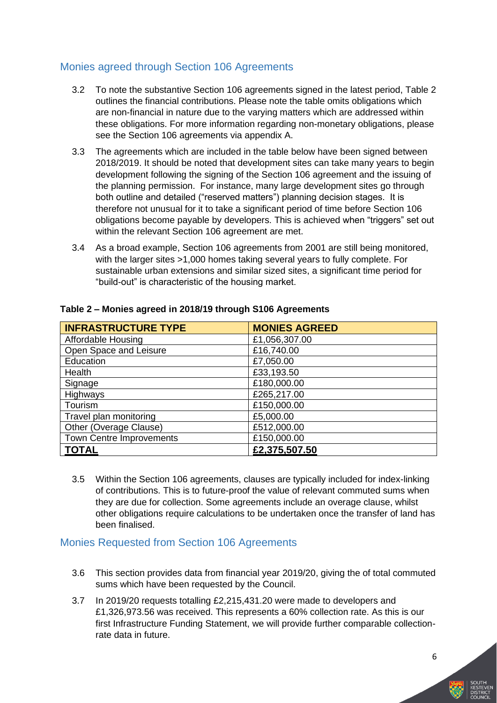#### <span id="page-6-0"></span>Monies agreed through Section 106 Agreements

- 3.2 To note the substantive Section 106 agreements signed in the latest period, Table 2 outlines the financial contributions. Please note the table omits obligations which are non-financial in nature due to the varying matters which are addressed within these obligations. For more information regarding non-monetary obligations, please see the Section 106 agreements via appendix A.
- 3.3 The agreements which are included in the table below have been signed between 2018/2019. It should be noted that development sites can take many years to begin development following the signing of the Section 106 agreement and the issuing of the planning permission. For instance, many large development sites go through both outline and detailed ("reserved matters") planning decision stages. It is therefore not unusual for it to take a significant period of time before Section 106 obligations become payable by developers. This is achieved when "triggers" set out within the relevant Section 106 agreement are met.
- 3.4 As a broad example, Section 106 agreements from 2001 are still being monitored, with the larger sites >1,000 homes taking several years to fully complete. For sustainable urban extensions and similar sized sites, a significant time period for "build-out" is characteristic of the housing market.

| <b>INFRASTRUCTURE TYPE</b>      | <b>MONIES AGREED</b> |
|---------------------------------|----------------------|
| <b>Affordable Housing</b>       | £1,056,307.00        |
| Open Space and Leisure          | £16,740.00           |
| Education                       | £7,050.00            |
| Health                          | £33,193.50           |
| Signage                         | £180,000.00          |
| Highways                        | £265,217.00          |
| Tourism                         | £150,000.00          |
| Travel plan monitoring          | £5,000.00            |
| Other (Overage Clause)          | £512,000.00          |
| <b>Town Centre Improvements</b> | £150,000.00          |
| <b>TOTAL</b>                    | £2,375,507.50        |

#### **Table 2 – Monies agreed in 2018/19 through S106 Agreements**

3.5 Within the Section 106 agreements, clauses are typically included for index-linking of contributions. This is to future-proof the value of relevant commuted sums when they are due for collection. Some agreements include an overage clause, whilst other obligations require calculations to be undertaken once the transfer of land has been finalised.

#### <span id="page-6-1"></span>Monies Requested from Section 106 Agreements

- 3.6 This section provides data from financial year 2019/20, giving the of total commuted sums which have been requested by the Council.
- 3.7 In 2019/20 requests totalling £2,215,431.20 were made to developers and £1,326,973.56 was received. This represents a 60% collection rate. As this is our first Infrastructure Funding Statement, we will provide further comparable collectionrate data in future.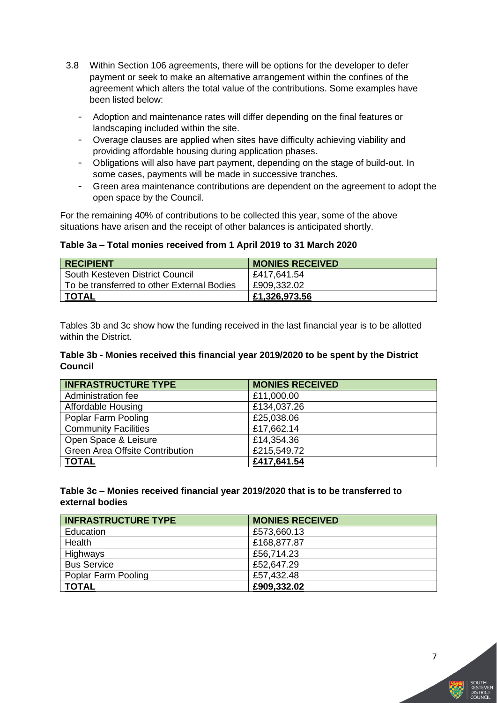- 3.8 Within Section 106 agreements, there will be options for the developer to defer payment or seek to make an alternative arrangement within the confines of the agreement which alters the total value of the contributions. Some examples have been listed below:
	- Adoption and maintenance rates will differ depending on the final features or landscaping included within the site.
	- Overage clauses are applied when sites have difficulty achieving viability and providing affordable housing during application phases.
	- Obligations will also have part payment, depending on the stage of build-out. In some cases, payments will be made in successive tranches.
	- Green area maintenance contributions are dependent on the agreement to adopt the open space by the Council.

For the remaining 40% of contributions to be collected this year, some of the above situations have arisen and the receipt of other balances is anticipated shortly.

**Table 3a – Total monies received from 1 April 2019 to 31 March 2020**

| <b>RECIPIENT</b>                           | <b>MONIES RECEIVED</b> |
|--------------------------------------------|------------------------|
| South Kesteven District Council            | £417,641.54            |
| To be transferred to other External Bodies | £909,332.02            |
| <b>TOTAL</b>                               | £1,326,973.56          |

Tables 3b and 3c show how the funding received in the last financial year is to be allotted within the District.

#### **Table 3b - Monies received this financial year 2019/2020 to be spent by the District Council**

| <b>INFRASTRUCTURE TYPE</b>             | <b>MONIES RECEIVED</b> |
|----------------------------------------|------------------------|
| Administration fee                     | £11,000.00             |
| Affordable Housing                     | £134,037.26            |
| Poplar Farm Pooling                    | £25,038.06             |
| <b>Community Facilities</b>            | £17,662.14             |
| Open Space & Leisure                   | £14,354.36             |
| <b>Green Area Offsite Contribution</b> | £215,549.72            |
| <b>TOTAL</b>                           | £417,641.54            |

#### **Table 3c – Monies received financial year 2019/2020 that is to be transferred to external bodies**

| <b>INFRASTRUCTURE TYPE</b> | <b>MONIES RECEIVED</b> |
|----------------------------|------------------------|
| Education                  | £573,660.13            |
| Health                     | £168,877.87            |
| Highways                   | £56,714.23             |
| <b>Bus Service</b>         | £52,647.29             |
| Poplar Farm Pooling        | £57.432.48             |
| <b>TOTAL</b>               | £909,332.02            |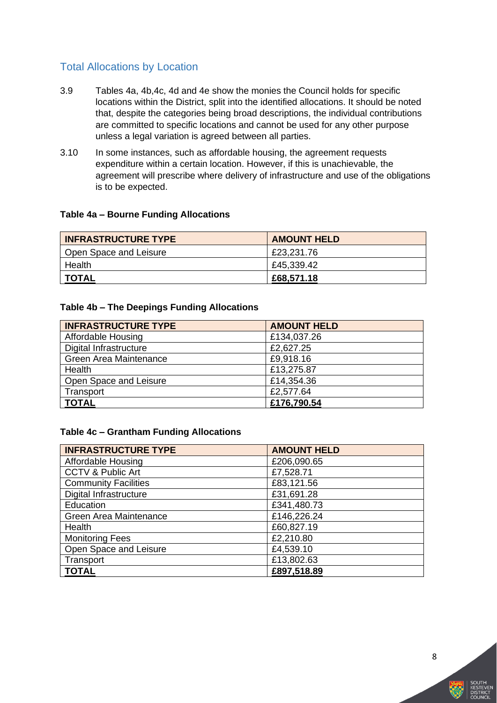#### <span id="page-8-0"></span>Total Allocations by Location

- 3.9 Tables 4a, 4b,4c, 4d and 4e show the monies the Council holds for specific locations within the District, split into the identified allocations. It should be noted that, despite the categories being broad descriptions, the individual contributions are committed to specific locations and cannot be used for any other purpose unless a legal variation is agreed between all parties.
- 3.10 In some instances, such as affordable housing, the agreement requests expenditure within a certain location. However, if this is unachievable, the agreement will prescribe where delivery of infrastructure and use of the obligations is to be expected.

#### **Table 4a – Bourne Funding Allocations**

| <b>INFRASTRUCTURE TYPE</b> | <b>AMOUNT HELD</b> |
|----------------------------|--------------------|
| Open Space and Leisure     | £23,231.76         |
| Health                     | £45,339.42         |
| TOTAL                      | £68,571.18         |

#### **Table 4b – The Deepings Funding Allocations**

| <b>INFRASTRUCTURE TYPE</b> | <b>AMOUNT HELD</b> |
|----------------------------|--------------------|
| Affordable Housing         | £134,037.26        |
| Digital Infrastructure     | £2,627.25          |
| Green Area Maintenance     | £9,918.16          |
| Health                     | £13,275.87         |
| Open Space and Leisure     | £14,354.36         |
| Transport                  | £2,577.64          |
| <b>TOTAL</b>               | £176,790.54        |

#### **Table 4c – Grantham Funding Allocations**

| <b>INFRASTRUCTURE TYPE</b>    | <b>AMOUNT HELD</b> |
|-------------------------------|--------------------|
| Affordable Housing            | £206,090.65        |
| <b>CCTV &amp; Public Art</b>  | £7,528.71          |
| <b>Community Facilities</b>   | £83,121.56         |
| <b>Digital Infrastructure</b> | £31,691.28         |
| Education                     | £341,480.73        |
| Green Area Maintenance        | £146,226.24        |
| Health                        | £60,827.19         |
| <b>Monitoring Fees</b>        | £2,210.80          |
| Open Space and Leisure        | £4,539.10          |
| Transport                     | £13,802.63         |
| <b>TOTAL</b>                  | £897,518.89        |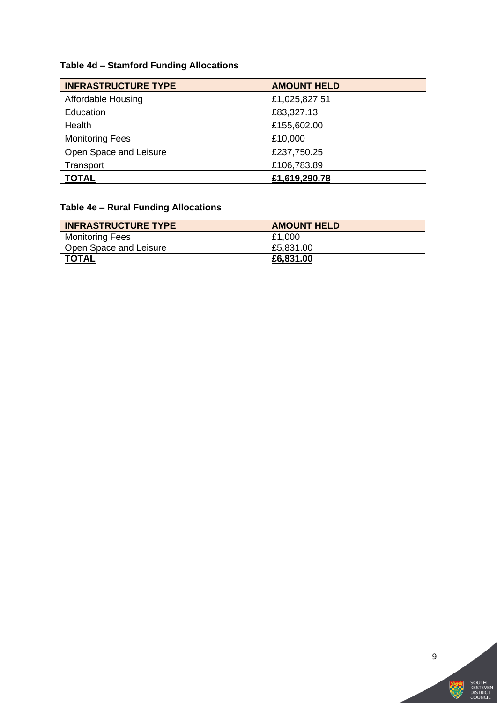### **Table 4d – Stamford Funding Allocations**

| <b>INFRASTRUCTURE TYPE</b> | <b>AMOUNT HELD</b> |
|----------------------------|--------------------|
| Affordable Housing         | £1,025,827.51      |
| Education                  | £83,327.13         |
| Health                     | £155,602.00        |
| <b>Monitoring Fees</b>     | £10,000            |
| Open Space and Leisure     | £237,750.25        |
| Transport                  | £106,783.89        |
| <b>TOTAL</b>               | £1,619,290.78      |

### **Table 4e – Rural Funding Allocations**

| <b>INFRASTRUCTURE TYPE</b> | <b>AMOUNT HELD</b> |
|----------------------------|--------------------|
| <b>Monitoring Fees</b>     | £1,000             |
| Open Space and Leisure     | £5,831.00          |
| <b>TOTAL</b>               | £6,831.00          |



深

South<br>Kesteven<br>District<br>Council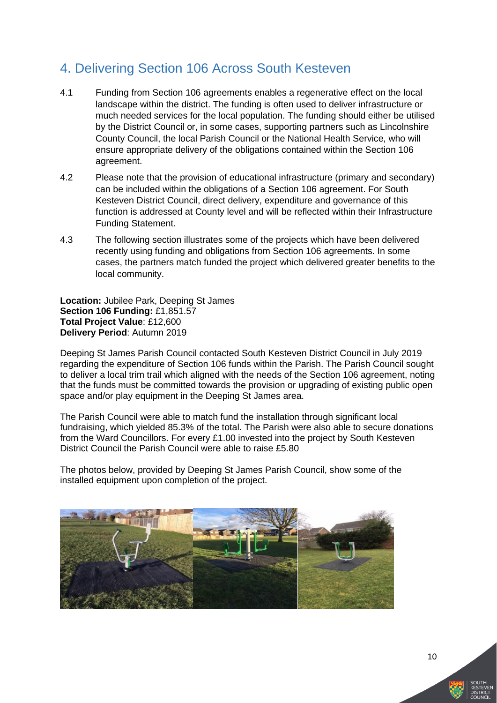### <span id="page-10-0"></span>4. Delivering Section 106 Across South Kesteven

- 4.1 Funding from Section 106 agreements enables a regenerative effect on the local landscape within the district. The funding is often used to deliver infrastructure or much needed services for the local population. The funding should either be utilised by the District Council or, in some cases, supporting partners such as Lincolnshire County Council, the local Parish Council or the National Health Service, who will ensure appropriate delivery of the obligations contained within the Section 106 agreement.
- 4.2 Please note that the provision of educational infrastructure (primary and secondary) can be included within the obligations of a Section 106 agreement. For South Kesteven District Council, direct delivery, expenditure and governance of this function is addressed at County level and will be reflected within their Infrastructure Funding Statement.
- 4.3 The following section illustrates some of the projects which have been delivered recently using funding and obligations from Section 106 agreements. In some cases, the partners match funded the project which delivered greater benefits to the local community.

**Location:** Jubilee Park, Deeping St James **Section 106 Funding:** £1,851.57 **Total Project Value**: £12,600 **Delivery Period**: Autumn 2019

Deeping St James Parish Council contacted South Kesteven District Council in July 2019 regarding the expenditure of Section 106 funds within the Parish. The Parish Council sought to deliver a local trim trail which aligned with the needs of the Section 106 agreement, noting that the funds must be committed towards the provision or upgrading of existing public open space and/or play equipment in the Deeping St James area.

The Parish Council were able to match fund the installation through significant local fundraising, which yielded 85.3% of the total. The Parish were also able to secure donations from the Ward Councillors. For every £1.00 invested into the project by South Kesteven District Council the Parish Council were able to raise £5.80

The photos below, provided by Deeping St James Parish Council, show some of the installed equipment upon completion of the project.

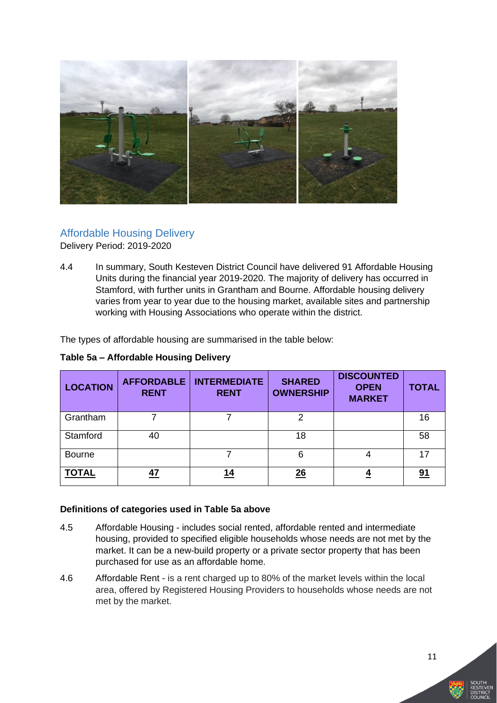

#### <span id="page-11-0"></span>Affordable Housing Delivery Delivery Period: 2019-2020

4.4 In summary, South Kesteven District Council have delivered 91 Affordable Housing Units during the financial year 2019-2020. The majority of delivery has occurred in Stamford, with further units in Grantham and Bourne. Affordable housing delivery varies from year to year due to the housing market, available sites and partnership working with Housing Associations who operate within the district.

The types of affordable housing are summarised in the table below:

| <b>LOCATION</b> | <b>AFFORDABLE</b><br><b>RENT</b> | <b>INTERMEDIATE</b><br><b>RENT</b> | <b>SHARED</b><br><b>OWNERSHIP</b> | <b>DISCOUNTED</b><br><b>OPEN</b><br><b>MARKET</b> | <b>TOTAL</b> |
|-----------------|----------------------------------|------------------------------------|-----------------------------------|---------------------------------------------------|--------------|
| Grantham        |                                  |                                    | 2                                 |                                                   | 16           |
| Stamford        | 40                               |                                    | 18                                |                                                   | 58           |
| <b>Bourne</b>   |                                  |                                    | 6                                 | 4                                                 | 17           |
| <b>TOTAL</b>    | 47                               | 14                                 | $\frac{26}{5}$                    |                                                   | <u>91</u>    |

#### **Definitions of categories used in Table 5a above**

- 4.5 Affordable Housing includes social rented, affordable rented and intermediate housing, provided to specified eligible households whose needs are not met by the market. It can be a new-build property or a private sector property that has been purchased for use as an affordable home.
- 4.6 Affordable Rent is a rent charged up to 80% of the market levels within the local area, offered by Registered Housing Providers to households whose needs are not met by the market.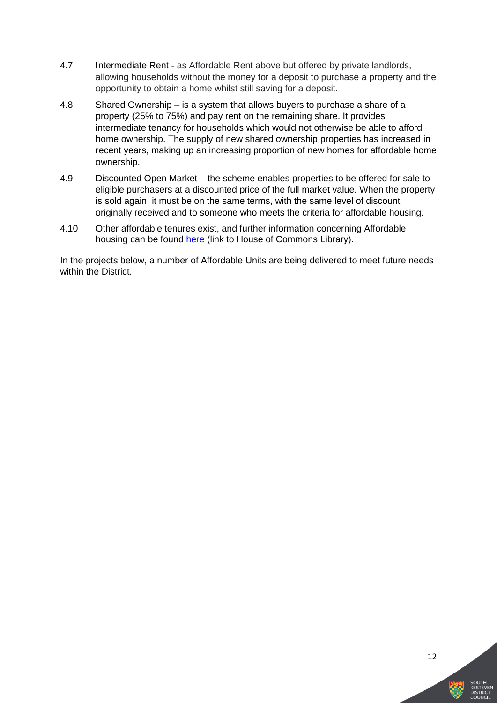- 4.7 Intermediate Rent as Affordable Rent above but offered by private landlords, allowing households without the money for a deposit to purchase a property and the opportunity to obtain a home whilst still saving for a deposit.
- 4.8 Shared Ownership is a system that allows buyers to purchase a share of a property (25% to 75%) and pay rent on the remaining share. It provides intermediate tenancy for households which would not otherwise be able to afford home ownership. The supply of new shared ownership properties has increased in recent years, making up an increasing proportion of new homes for affordable home ownership.
- 4.9 Discounted Open Market the scheme enables properties to be offered for sale to eligible purchasers at a discounted price of the full market value. When the property is sold again, it must be on the same terms, with the same level of discount originally received and to someone who meets the criteria for affordable housing.
- 4.10 Other affordable tenures exist, and further information concerning Affordable housing can be found [here](https://commonslibrary.parliament.uk/research-briefings/cbp-7747/) (link to House of Commons Library).

In the projects below, a number of Affordable Units are being delivered to meet future needs within the District.

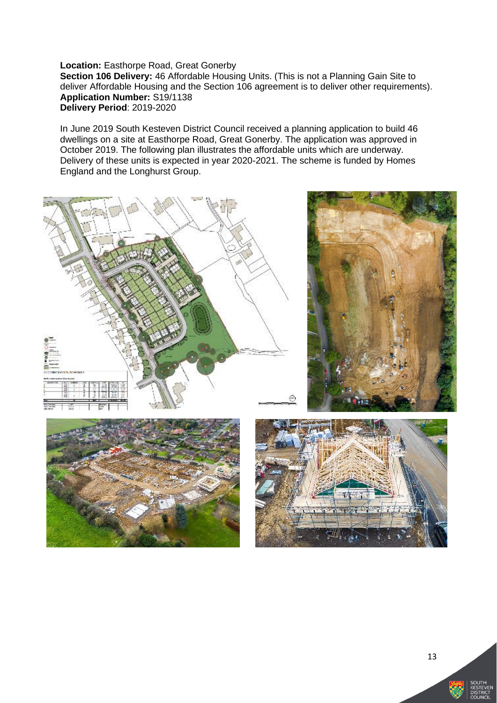**Location:** Easthorpe Road, Great Gonerby **Section 106 Delivery:** 46 Affordable Housing Units. (This is not a Planning Gain Site to deliver Affordable Housing and the Section 106 agreement is to deliver other requirements). **Application Number:** S19/1138 **Delivery Period**: 2019-2020

In June 2019 South Kesteven District Council received a planning application to build 46 dwellings on a site at Easthorpe Road, Great Gonerby. The application was approved in October 2019. The following plan illustrates the affordable units which are underway. Delivery of these units is expected in year 2020-2021. The scheme is funded by Homes England and the Longhurst Group.









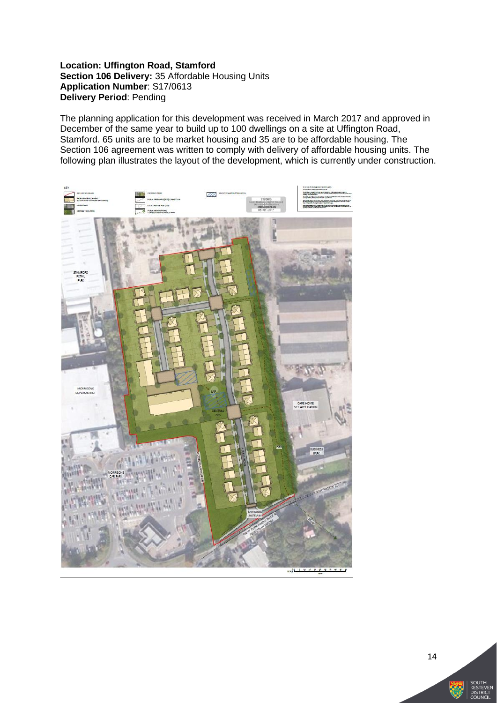**Location: Uffington Road, Stamford Section 106 Delivery:** 35 Affordable Housing Units **Application Number**: S17/0613 **Delivery Period**: Pending

The planning application for this development was received in March 2017 and approved in December of the same year to build up to 100 dwellings on a site at Uffington Road, Stamford. 65 units are to be market housing and 35 are to be affordable housing. The Section 106 agreement was written to comply with delivery of affordable housing units. The following plan illustrates the layout of the development, which is currently under construction.

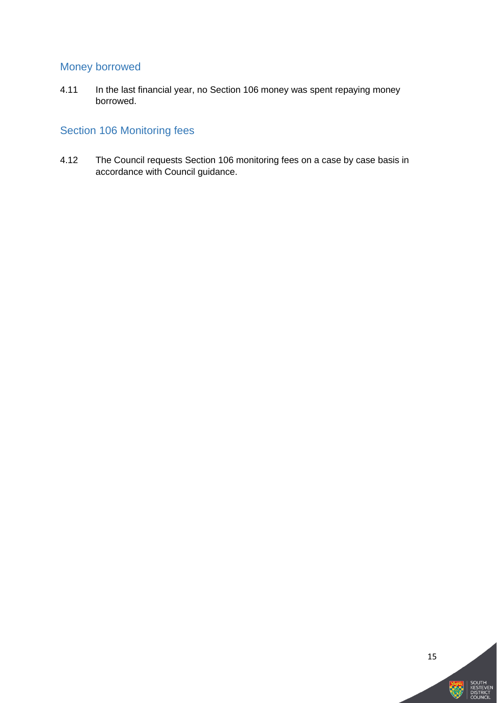### <span id="page-15-0"></span>Money borrowed

4.11 In the last financial year, no Section 106 money was spent repaying money borrowed.

#### <span id="page-15-1"></span>Section 106 Monitoring fees

4.12 The Council requests Section 106 monitoring fees on a case by case basis in accordance with Council guidance.

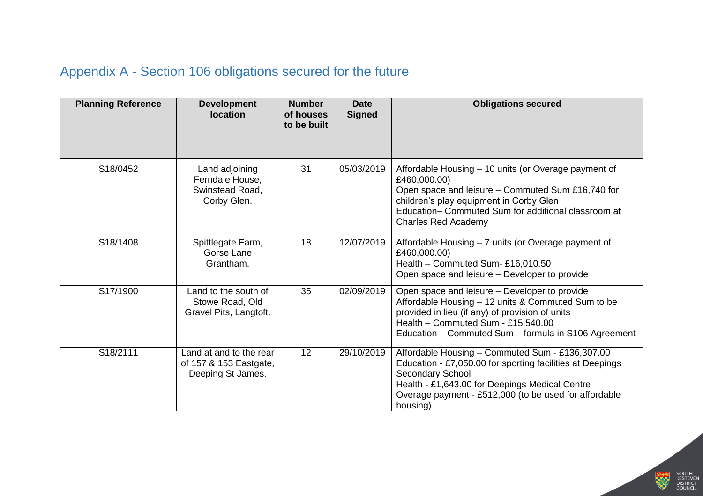## Appendix A - Section 106 obligations secured for the future

<span id="page-16-0"></span>

| <b>Planning Reference</b> | <b>Development</b><br><b>location</b>                                  | <b>Number</b><br>of houses<br>to be built | <b>Date</b><br><b>Signed</b> | <b>Obligations secured</b>                                                                                                                                                                                                                                |
|---------------------------|------------------------------------------------------------------------|-------------------------------------------|------------------------------|-----------------------------------------------------------------------------------------------------------------------------------------------------------------------------------------------------------------------------------------------------------|
| S18/0452                  | Land adjoining<br>Ferndale House,<br>Swinstead Road,<br>Corby Glen.    | 31                                        | 05/03/2019                   | Affordable Housing - 10 units (or Overage payment of<br>£460,000.00)<br>Open space and leisure - Commuted Sum £16,740 for<br>children's play equipment in Corby Glen<br>Education- Commuted Sum for additional classroom at<br><b>Charles Red Academy</b> |
| S18/1408                  | Spittlegate Farm,<br>Gorse Lane<br>Grantham.                           | 18                                        | 12/07/2019                   | Affordable Housing - 7 units (or Overage payment of<br>£460,000.00)<br>Health - Commuted Sum- £16,010.50<br>Open space and leisure - Developer to provide                                                                                                 |
| S17/1900                  | Land to the south of<br>Stowe Road, Old<br>Gravel Pits, Langtoft.      | 35                                        | 02/09/2019                   | Open space and leisure - Developer to provide<br>Affordable Housing - 12 units & Commuted Sum to be<br>provided in lieu (if any) of provision of units<br>Health - Commuted Sum - £15,540.00<br>Education - Commuted Sum - formula in S106 Agreement      |
| S18/2111                  | Land at and to the rear<br>of 157 & 153 Eastgate,<br>Deeping St James. | 12                                        | 29/10/2019                   | Affordable Housing - Commuted Sum - £136,307.00<br>Education - £7,050.00 for sporting facilities at Deepings<br>Secondary School<br>Health - £1,643.00 for Deepings Medical Centre<br>Overage payment - £512,000 (to be used for affordable<br>housing)   |

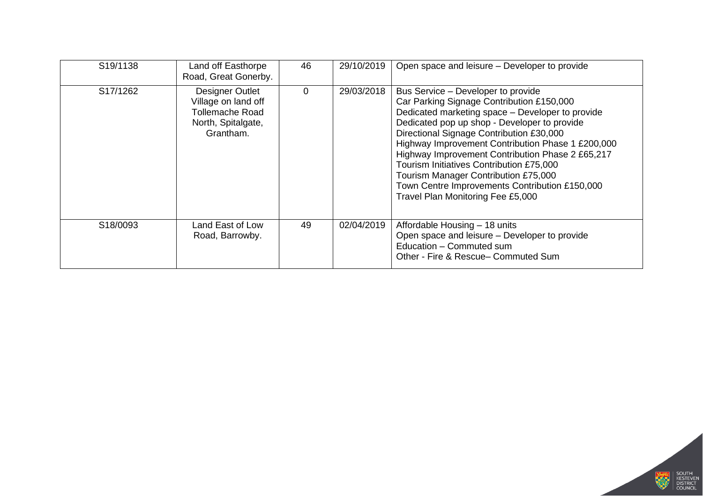| S <sub>19</sub> /1138 | Land off Easthorpe<br>Road, Great Gonerby.                                                          | 46       | 29/10/2019 | Open space and leisure - Developer to provide                                                                                                                                                                                                                                                                                                                                                                                                                                                                       |
|-----------------------|-----------------------------------------------------------------------------------------------------|----------|------------|---------------------------------------------------------------------------------------------------------------------------------------------------------------------------------------------------------------------------------------------------------------------------------------------------------------------------------------------------------------------------------------------------------------------------------------------------------------------------------------------------------------------|
| S17/1262              | Designer Outlet<br>Village on land off<br><b>Tollemache Road</b><br>North, Spitalgate,<br>Grantham. | $\Omega$ | 29/03/2018 | Bus Service – Developer to provide<br>Car Parking Signage Contribution £150,000<br>Dedicated marketing space - Developer to provide<br>Dedicated pop up shop - Developer to provide<br>Directional Signage Contribution £30,000<br>Highway Improvement Contribution Phase 1 £200,000<br>Highway Improvement Contribution Phase 2 £65,217<br>Tourism Initiatives Contribution £75,000<br>Tourism Manager Contribution £75,000<br>Town Centre Improvements Contribution £150,000<br>Travel Plan Monitoring Fee £5,000 |
| S18/0093              | Land East of Low<br>Road, Barrowby.                                                                 | 49       | 02/04/2019 | Affordable Housing - 18 units<br>Open space and leisure - Developer to provide<br>Education - Commuted sum<br>Other - Fire & Rescue- Commuted Sum                                                                                                                                                                                                                                                                                                                                                                   |